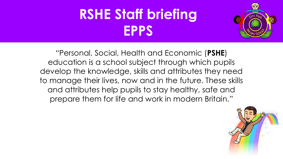## **RSHE Staff briefing EPPS**



"Personal, Social, Health and Economic (**PSHE**) education is a school subject through which pupils develop the knowledge, skills and attributes they need to manage their lives, now and in the future. These skills and attributes help pupils to stay healthy, safe and prepare them for life and work in modern Britain."

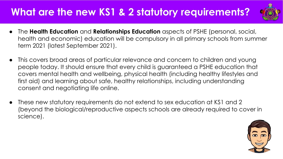#### **What are the new KS1 & 2 statutory requirements?**



- The **Health Education** and **Relationships Education** aspects of PSHE (personal, social, health and economic) education will be compulsory in all primary schools from summer term 2021 (latest September 2021).
- This covers broad areas of particular relevance and concern to children and young people today. It should ensure that every child is guaranteed a PSHE education that covers mental health and wellbeing, physical health (including healthy lifestyles and first aid) and learning about safe, healthy relationships, including understanding consent and negotiating life online.
- These new statutory requirements do not extend to sex education at KS1 and 2 (beyond the biological/reproductive aspects schools are already required to cover in science).

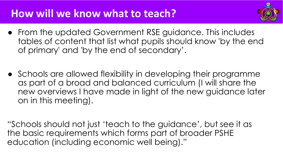#### **How will we know what to teach?**



- From the updated Government RSE guidance. This includes tables of content that list what pupils should know 'by the end of primary' and 'by the end of secondary'.
- Schools are allowed flexibility in developing their programme as part of a broad and balanced curriculum (I will share the new overviews I have made in light of the new guidance later on in this meeting).

"Schools should not just 'teach to the guidance', but see it as the basic requirements which forms part of broader PSHE education (including economic well being)."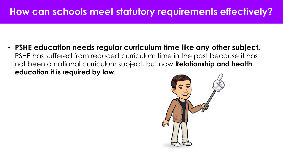#### **How can schools meet statutory requirements effectively?**

• **PSHE education needs regular curriculum time like any other subject.** PSHE has suffered from reduced curriculum time in the past because it has not been a national curriculum subject, but now **Relationship and health education it is required by law.**

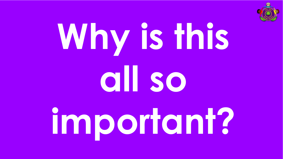

# **Why is this all so important?**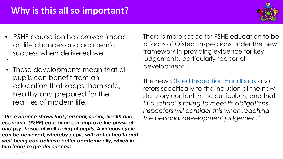#### **Why is this all so important?**



• PSHE education has [proven impact](https://www.pshe-association.org.uk/curriculum-and-resources/resources/curriculum-life-case-statutory-pshe-education) on life chances and academic success when delivered well.

•

**•** These developments mean that all pupils can benefit from an education that keeps them safe, healthy and prepared for the realities of modern life.

*"The evidence shows that personal, social, health and economic (PSHE) education can improve the physical and psychosocial well-being of pupils. A virtuous cycle can be achieved, whereby pupils with better health and well-being can achieve better academically, which in turn leads to greater success."* 

There is more scope for PSHE education to be a focus of Ofsted inspections under the new framework in providing evidence for key judgements, particularly 'personal development'.

The new [Ofsted Inspection Handbook](https://www.gov.uk/government/publications/school-inspection-handbook-eif/school-inspection-handbook) also refers specifically to the inclusion of the new statutory content in the curriculum, and that *'if a school is failing to meet its obligations, inspectors will consider this when reaching the personal development judgement'.*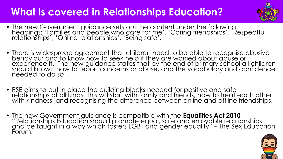#### **What is covered in Relationships Education?**



- The new Government guidance sets out the content under the following headings: 'Families and people who care for me', 'Caring friendships', 'Respectful relationships', 'Online relationships', 'Being safe'.
- There is widespread agreement that children need to be able to recognise abusive behaviour and to know how to seek help if they are worried about abuse or experience it. The new guidance states that by the end of primary school all children should know: 'how to report concerns or abuse, and the vocabulary and confidence needed to do so'.
- RSE aims to put in place the building blocks needed for positive and safe relationships of all kinds. This will start with family and friends, how to treat each other with kindness, and recognising the difference between online and offline friendships.
- The new Government guidance is compatible with the **Equalities Act 2010** "Relationships Education should promote equal, safe and enjoyable relationships and be taught in a way which fosters LGBT and gender equality" – The Sex Education Forum.

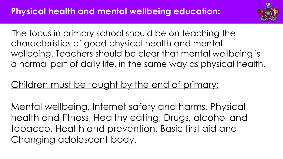

The focus in primary school should be on teaching the characteristics of good physical health and mental wellbeing. Teachers should be clear that mental wellbeing is a normal part of daily life, in the same way as physical health.

#### Children must be taught by the end of primary:

Mental wellbeing, Internet safety and harms, Physical health and fitness, Healthy eating, Drugs, alcohol and tobacco, Health and prevention, Basic first aid and Changing adolescent body.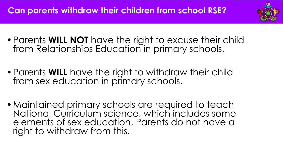

- •Parents **WILL NOT** have the right to excuse their child from Relationships Education in primary schools.
- •Parents **WILL** have the right to withdraw their child from sex education in primary schools.
- •Maintained primary schools are required to teach National Curriculum science, which includes some elements of sex education. Parents do not have a right to withdraw from this.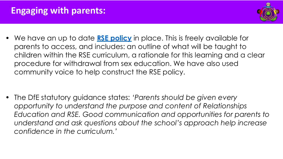#### **Engaging with parents:**



• We have an up to date **[RSE policy](https://docs.google.com/document/d/1eo3FCBpRrkQYnsR2YwB7GMBs5XKCpPnAP4WFbuQEdzA/preview)** in place. This is freely available for parents to access, and includes: an outline of what will be taught to children within the RSE curriculum, a rationale for this learning and a clear procedure for withdrawal from sex education. We have also used community voice to help construct the RSE policy.

• The DfE statutory guidance states: *'Parents should be given every opportunity to understand the purpose and content of Relationships Education and RSE. Good communication and opportunities for parents to understand and ask questions about the school's approach help increase confidence in the curriculum.'*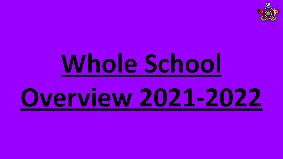

# **[Whole School](https://docs.google.com/document/d/1RFzMOZL0wC4x066yKhqtEv9q4SKx_AJ1I6N60i-xAIo/preview#heading=h.gjdgxs)**

# **[Overview 2021-2022](https://docs.google.com/document/d/1RFzMOZL0wC4x066yKhqtEv9q4SKx_AJ1I6N60i-xAIo/preview#heading=h.gjdgxs)**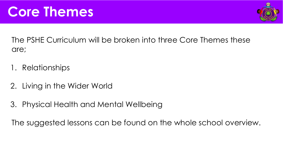

The PSHE Curriculum will be broken into three Core Themes these are;

- 1. Relationships
- 2. Living in the Wider World
- 3. Physical Health and Mental Wellbeing

The suggested lessons can be found on the whole school overview.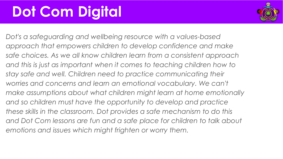## **Dot Com Digital**



*Dot's a safeguarding and wellbeing resource with a values-based approach that empowers children to develop confidence and make safe choices. As we all know children learn from a consistent approach and this is just as important when it comes to teaching children how to stay safe and well. Children need to practice communicating their worries and concerns and learn an emotional vocabulary. We can't make assumptions about what children might learn at home emotionally and so children must have the opportunity to develop and practice these skills in the classroom. Dot provides a safe mechanism to do this and Dot Com lessons are fun and a safe place for children to talk about emotions and issues which might frighten or worry them.*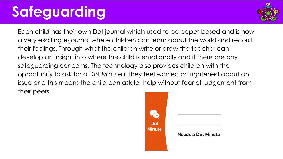# **Safeguarding**



Each child has their own Dot journal which used to be paper-based and is now a very exciting e-journal where children can learn about the world and record their feelings. Through what the children write or draw the teacher can develop an insight into where the child is emotionally and if there are any safeguarding concerns. The technology also provides children with the opportunity to ask for a Dot Minute if they feel worried or frightened about an issue and this means the child can ask for help without fear of judgement from their peers.

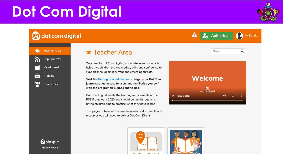# **Dot Com Digital**

**c)** dot com digital

**Teacher Area** 

**Pupil Activity** 

My eJournal

Projects

Characters

 $\blacktriangleright$ 

R



Search

**Authorise** 



 $Q$ 



Welcome to Dot Com Digital; a powerful resource which helps give children the knowledge, skills and confidence to support them against current and emerging threats.

Visit the Getting Started Section to begin your Dot Com journey, set up access to users and familiarise yourself with the programme's ethos and values.

Dot Com Digital meets the learning requirements of the RSE Framework 2020 and should be taught regularly, giving children time to practise what they have learnt.

This page contains all the links to sessions, documents and resources you will need to deliver Dot Com Digital.



**.**<br>40

**2** simple **Privacy Notice**